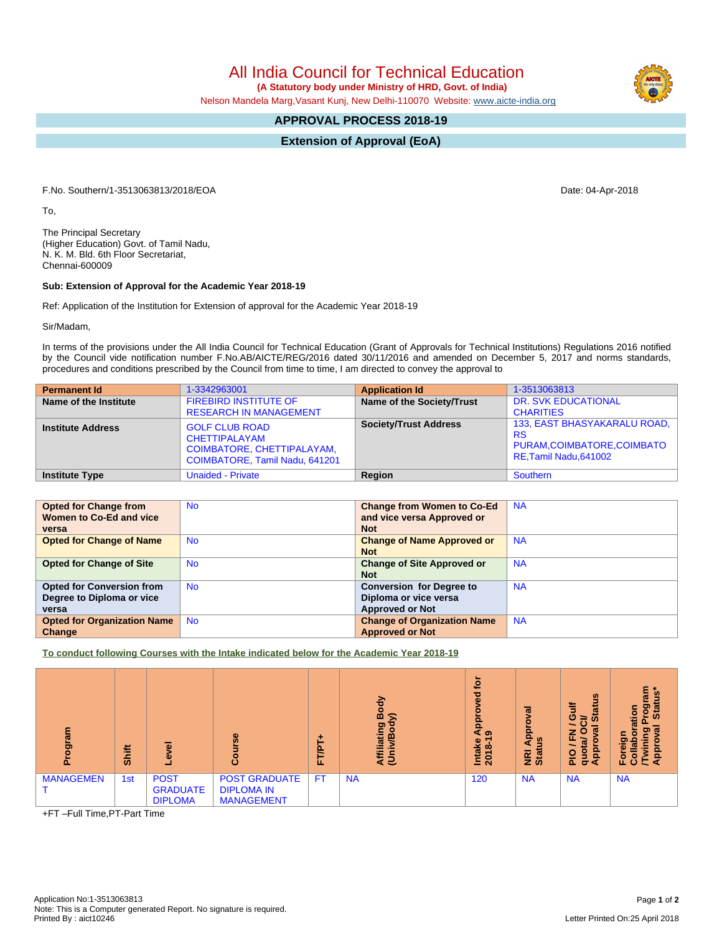All India Council for Technical Education  **(A Statutory body under Ministry of HRD, Govt. of India)**

Nelson Mandela Marg,Vasant Kunj, New Delhi-110070 Website: [www.aicte-india.org](http://www.aicte-india.org)

## **APPROVAL PROCESS 2018-19**

**Extension of Approval (EoA)**

F.No. Southern/1-3513063813/2018/EOA Date: 04-Apr-2018

To,

The Principal Secretary (Higher Education) Govt. of Tamil Nadu, N. K. M. Bld. 6th Floor Secretariat, Chennai-600009

## **Sub: Extension of Approval for the Academic Year 2018-19**

Ref: Application of the Institution for Extension of approval for the Academic Year 2018-19

Sir/Madam,

In terms of the provisions under the All India Council for Technical Education (Grant of Approvals for Technical Institutions) Regulations 2016 notified by the Council vide notification number F.No.AB/AICTE/REG/2016 dated 30/11/2016 and amended on December 5, 2017 and norms standards, procedures and conditions prescribed by the Council from time to time, I am directed to convey the approval to

| <b>Permanent Id</b>      | 1-3342963001                                                                                                  | <b>Application Id</b>        | 1-3513063813                                                                                       |
|--------------------------|---------------------------------------------------------------------------------------------------------------|------------------------------|----------------------------------------------------------------------------------------------------|
| Name of the Institute    | <b>FIREBIRD INSTITUTE OF</b><br><b>RESEARCH IN MANAGEMENT</b>                                                 | Name of the Society/Trust    | <b>DR. SVK EDUCATIONAL</b><br><b>CHARITIES</b>                                                     |
| <b>Institute Address</b> | <b>GOLF CLUB ROAD</b><br><b>CHETTIPALAYAM</b><br>COIMBATORE, CHETTIPALAYAM,<br>COIMBATORE, Tamil Nadu, 641201 | <b>Society/Trust Address</b> | 133, EAST BHASYAKARALU ROAD,<br><b>RS</b><br>PURAM, COIMBATORE, COIMBATO<br>RE, Tamil Nadu, 641002 |
| <b>Institute Type</b>    | <b>Unaided - Private</b>                                                                                      | Region                       | Southern                                                                                           |

| <b>Opted for Change from</b>       | <b>No</b> | <b>Change from Women to Co-Ed</b>  | <b>NA</b> |
|------------------------------------|-----------|------------------------------------|-----------|
| Women to Co-Ed and vice            |           | and vice versa Approved or         |           |
| versa                              |           | <b>Not</b>                         |           |
| <b>Opted for Change of Name</b>    | <b>No</b> | <b>Change of Name Approved or</b>  | <b>NA</b> |
|                                    |           | <b>Not</b>                         |           |
| <b>Opted for Change of Site</b>    | <b>No</b> | <b>Change of Site Approved or</b>  | <b>NA</b> |
|                                    |           | <b>Not</b>                         |           |
| <b>Opted for Conversion from</b>   | <b>No</b> | <b>Conversion for Degree to</b>    | <b>NA</b> |
| Degree to Diploma or vice          |           | Diploma or vice versa              |           |
| versa                              |           | <b>Approved or Not</b>             |           |
| <b>Opted for Organization Name</b> | <b>No</b> | <b>Change of Organization Name</b> | <b>NA</b> |
| Change                             |           | <b>Approved or Not</b>             |           |

**To conduct following Courses with the Intake indicated below for the Academic Year 2018-19**

| ogram<br>ō.      | Shift | $\overline{\mathbf{a}}$                          | ω                                                              | ë<br>E<br>L. | ㅎ<br>٥<br>⋒<br>ទ្ទា<br>o<br>liatin<br>m<br><b>ES</b> | ь.<br>으<br>ত<br>å<br>Œ<br>െ<br>Intake<br>2018-1 | ಕ<br>ą<br><b>SC</b><br>G.<br><b>E</b> ät | <b>SC</b><br>訔<br>÷<br>$\sigma$<br>ဖ<br><b>SCO</b><br>≃<br>$\sigma$<br>7<br>ц.<br>₫<br><b>q</b><br>ဌ<br>$\frac{1}{2}$<br>ō∢ | w<br>ത<br>ත<br>Sta<br>ation<br>ē<br>w<br>o.<br>ō<br>Φ<br>Εò<br>e<br>⋖<br>г<br>O |
|------------------|-------|--------------------------------------------------|----------------------------------------------------------------|--------------|------------------------------------------------------|-------------------------------------------------|------------------------------------------|-----------------------------------------------------------------------------------------------------------------------------|---------------------------------------------------------------------------------|
| <b>MANAGEMEN</b> | 1st   | <b>POST</b><br><b>GRADUATE</b><br><b>DIPLOMA</b> | <b>POST GRADUATE</b><br><b>DIPLOMA IN</b><br><b>MANAGEMENT</b> | FT.          | <b>NA</b>                                            | 120                                             | <b>NA</b>                                | <b>NA</b>                                                                                                                   | <b>NA</b>                                                                       |

+FT –Full Time,PT-Part Time